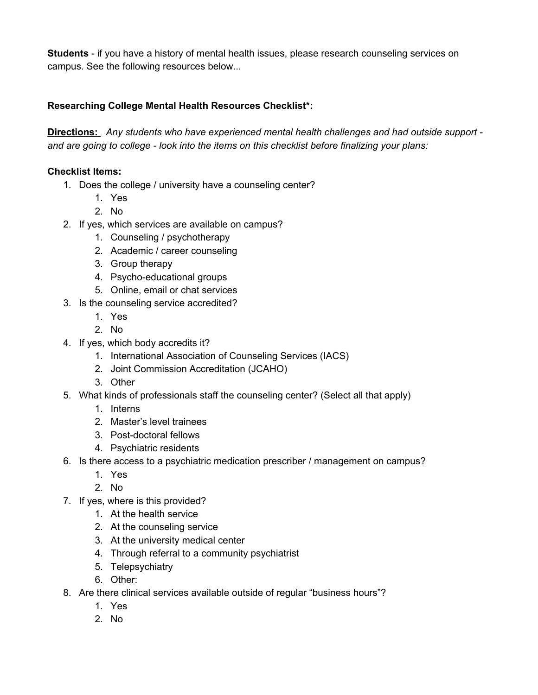**Students** - if you have a history of mental health issues, please research counseling services on campus. See the following resources below...

## **Researching College Mental Health Resources Checklist\*:**

**Directions:** *Any students who have experienced mental health challenges and had outside support and are going to college - look into the items on this checklist before finalizing your plans:*

## **Checklist Items:**

- 1. Does the college / university have a counseling center?
	- 1. Yes
	- 2. No
- 2. If yes, which services are available on campus?
	- 1. Counseling / psychotherapy
	- 2. Academic / career counseling
	- 3. Group therapy
	- 4. Psycho-educational groups
	- 5. Online, email or chat services
- 3. Is the counseling service accredited?
	- 1. Yes
	- 2. No
- 4. If yes, which body accredits it?
	- 1. International Association of Counseling Services (IACS)
	- 2. Joint Commission Accreditation (JCAHO)
	- 3. Other
- 5. What kinds of professionals staff the counseling center? (Select all that apply)
	- 1. Interns
	- 2. Master's level trainees
	- 3. Post-doctoral fellows
	- 4. Psychiatric residents
- 6. Is there access to a psychiatric medication prescriber / management on campus?
	- 1. Yes
	- 2. No
- 7. If yes, where is this provided?
	- 1. At the health service
	- 2. At the counseling service
	- 3. At the university medical center
	- 4. Through referral to a community psychiatrist
	- 5. Telepsychiatry
	- 6. Other:
- 8. Are there clinical services available outside of regular "business hours"?
	- 1. Yes
	- 2. No